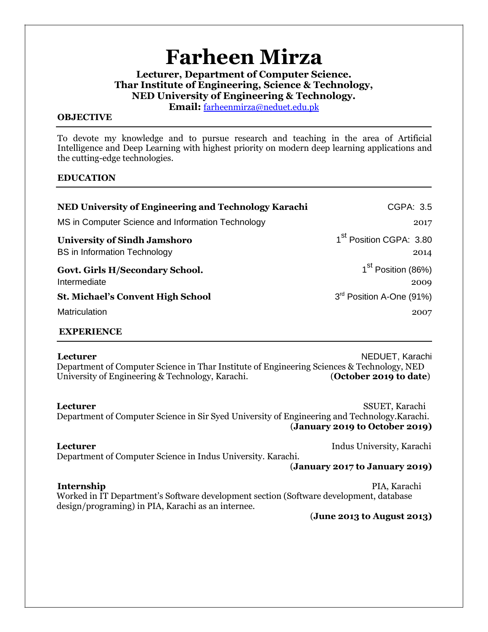# **Farheen Mirza**

**Lecturer, Department of Computer Science. Thar Institute of Engineering, Science & Technology, NED University of Engineering & Technology.** 

**Email:** farheenmirza@neduet.edu.pk

#### **OBJECTIVE**

To devote my knowledge and to pursue research and teaching in the area of Artificial Intelligence and Deep Learning with highest priority on modern deep learning applications and the cutting-edge technologies.

### **EDUCATION**

| NED University of Engineering and Technology Karachi                       | CGPA: 3.5                                   |
|----------------------------------------------------------------------------|---------------------------------------------|
| MS in Computer Science and Information Technology                          | 2017                                        |
| <b>University of Sindh Jamshoro</b><br><b>BS</b> in Information Technology | 1 <sup>st</sup> Position CGPA: 3.80<br>2014 |
| Govt. Girls H/Secondary School.<br>Intermediate                            | 1 <sup>st</sup> Position (86%)<br>2009      |
| <b>St. Michael's Convent High School</b>                                   | 3 <sup>rd</sup> Position A-One (91%)        |
| <b>Matriculation</b>                                                       | 2007                                        |

#### **EXPERIENCE**

**Lecturer NEDUET, Karachi** Department of Computer Science in Thar Institute of Engineering Sciences & Technology, NED University of Engineering & Technology, Karachi. (**October 2019 to date**)

**Lecturer** SSUET, Karachi

#### Department of Computer Science in Sir Syed University of Engineering and Technology.Karachi. (**January 2019 to October 2019)**

**Lecturer** Indus University, Karachi Department of Computer Science in Indus University. Karachi.

(**January 2017 to January 2019)**

**Internship** PIA, Karachi PIA, Karachi PIA, Karachi PIA, Karachi PIA, Karachi PIA, Karachi PIA, Karachi PIA, Karachi PIA, Karachi PIA, Karachi PIA, Karachi PIA, Karachi PIA, Karachi PIA, Karachi PIA, Karachi PIA, Karachi P Worked in IT Department's Software development section (Software development, database design/programing) in PIA, Karachi as an internee.

(**June 2013 to August 2013)**